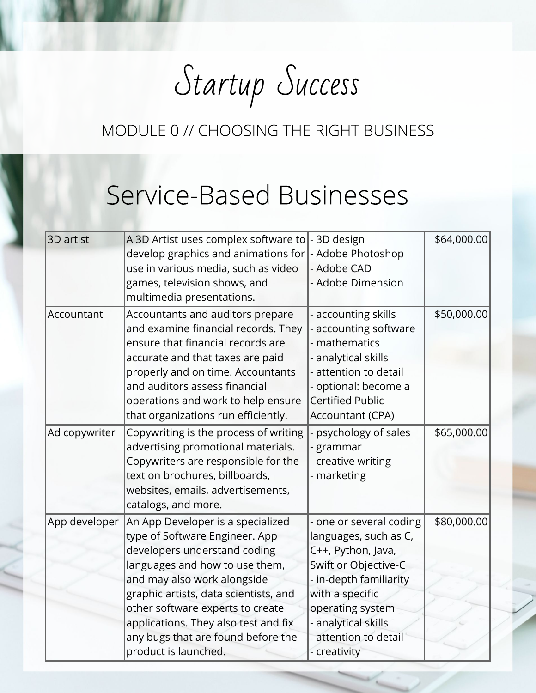Startup Success

# Service-Based Businesses

| 3D artist     | A 3D Artist uses complex software to<br>develop graphics and animations for<br>use in various media, such as video<br>games, television shows, and<br>multimedia presentations.                                                                                                                                                                         | - 3D design<br>- Adobe Photoshop<br>- Adobe CAD<br>- Adobe Dimension                                                                                                                                                          | \$64,000.00 |
|---------------|---------------------------------------------------------------------------------------------------------------------------------------------------------------------------------------------------------------------------------------------------------------------------------------------------------------------------------------------------------|-------------------------------------------------------------------------------------------------------------------------------------------------------------------------------------------------------------------------------|-------------|
| Accountant    | Accountants and auditors prepare<br>and examine financial records. They<br>ensure that financial records are<br>accurate and that taxes are paid<br>properly and on time. Accountants<br>and auditors assess financial<br>operations and work to help ensure<br>that organizations run efficiently.                                                     | accounting skills<br>accounting software<br>mathematics<br>analytical skills<br>attention to detail<br>- optional: become a<br><b>Certified Public</b><br>Accountant (CPA)                                                    | \$50,000.00 |
| Ad copywriter | Copywriting is the process of writing<br>advertising promotional materials.<br>Copywriters are responsible for the<br>text on brochures, billboards,<br>websites, emails, advertisements,<br>catalogs, and more.                                                                                                                                        | psychology of sales<br>grammar<br>- creative writing<br>- marketing                                                                                                                                                           | \$65,000.00 |
| App developer | An App Developer is a specialized<br>type of Software Engineer. App<br>developers understand coding<br>languages and how to use them,<br>and may also work alongside<br>graphic artists, data scientists, and<br>other software experts to create<br>applications. They also test and fix<br>any bugs that are found before the<br>product is launched. | - one or several coding<br>languages, such as C,<br>C++, Python, Java,<br>Swift or Objective-C<br>in-depth familiarity<br>with a specific<br>operating system<br>- analytical skills<br>- attention to detail<br>- creativity | \$80,000.00 |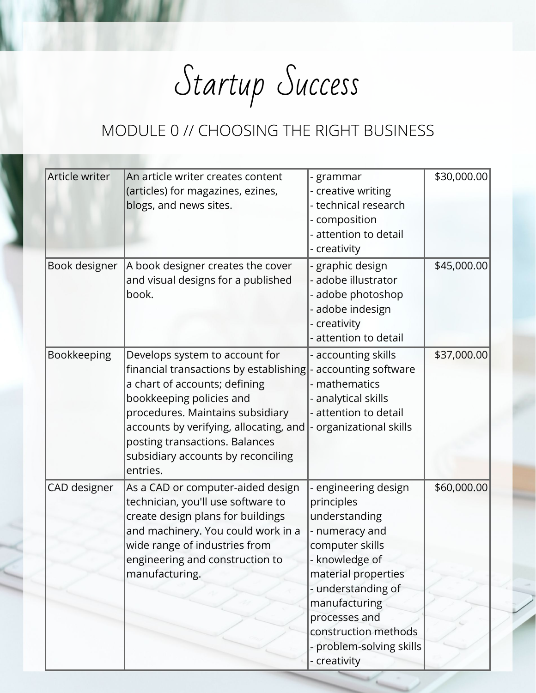Startup Success

| Article writer | An article writer creates content<br>(articles) for magazines, ezines,<br>blogs, and news sites.                                                                                                                                                                                                        | - grammar<br>creative writing<br>- technical research<br>composition<br>- attention to detail                                                                                                                                               | \$30,000.00 |
|----------------|---------------------------------------------------------------------------------------------------------------------------------------------------------------------------------------------------------------------------------------------------------------------------------------------------------|---------------------------------------------------------------------------------------------------------------------------------------------------------------------------------------------------------------------------------------------|-------------|
| Book designer  | A book designer creates the cover                                                                                                                                                                                                                                                                       | creativity<br>graphic design                                                                                                                                                                                                                | \$45,000.00 |
|                | and visual designs for a published<br>book.                                                                                                                                                                                                                                                             | adobe illustrator<br>adobe photoshop<br>adobe indesign<br>- creativity<br>attention to detail                                                                                                                                               |             |
| Bookkeeping    | Develops system to account for<br>financial transactions by establishing<br>a chart of accounts; defining<br>bookkeeping policies and<br>procedures. Maintains subsidiary<br>accounts by verifying, allocating, and<br>posting transactions. Balances<br>subsidiary accounts by reconciling<br>entries. | - accounting skills<br>accounting software<br>- mathematics<br>analytical skills<br>attention to detail<br>organizational skills                                                                                                            | \$37,000.00 |
| CAD designer   | As a CAD or computer-aided design<br>technician, you'll use software to<br>create design plans for buildings<br>and machinery. You could work in a<br>wide range of industries from<br>engineering and construction to<br>manufacturing.                                                                | engineering design<br>principles<br>understanding<br>- numeracy and<br>computer skills<br>- knowledge of<br>material properties<br>- understanding of<br>manufacturing<br>processes and<br>construction methods<br>- problem-solving skills | \$60,000.00 |
|                |                                                                                                                                                                                                                                                                                                         | - creativity                                                                                                                                                                                                                                |             |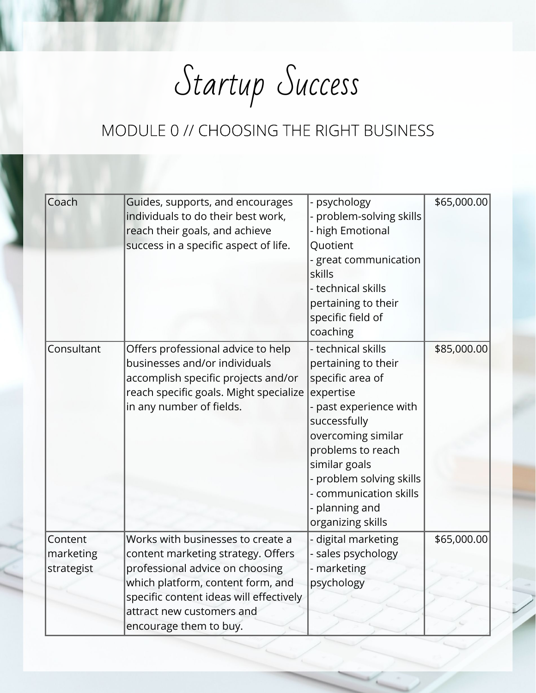Startup Success

| Coach                              | Guides, supports, and encourages<br>individuals to do their best work,<br>reach their goals, and achieve<br>success in a specific aspect of life.                                                                                                 | - psychology<br>- problem-solving skills<br>- high Emotional<br>Quotient<br>- great communication<br>skills<br>- technical skills<br>pertaining to their<br>specific field of<br>coaching                                                                                     | \$65,000.00 |
|------------------------------------|---------------------------------------------------------------------------------------------------------------------------------------------------------------------------------------------------------------------------------------------------|-------------------------------------------------------------------------------------------------------------------------------------------------------------------------------------------------------------------------------------------------------------------------------|-------------|
| Consultant                         | Offers professional advice to help<br>businesses and/or individuals<br>accomplish specific projects and/or<br>reach specific goals. Might specialize<br>in any number of fields.                                                                  | - technical skills<br>pertaining to their<br>specific area of<br>expertise<br>- past experience with<br>successfully<br>overcoming similar<br>problems to reach<br>similar goals<br>- problem solving skills<br>- communication skills<br>- planning and<br>organizing skills | \$85,000.00 |
| Content<br>marketing<br>strategist | Works with businesses to create a<br>content marketing strategy. Offers<br>professional advice on choosing<br>which platform, content form, and<br>specific content ideas will effectively<br>attract new customers and<br>encourage them to buy. | - digital marketing<br>- sales psychology<br>- marketing<br>psychology                                                                                                                                                                                                        | \$65,000.00 |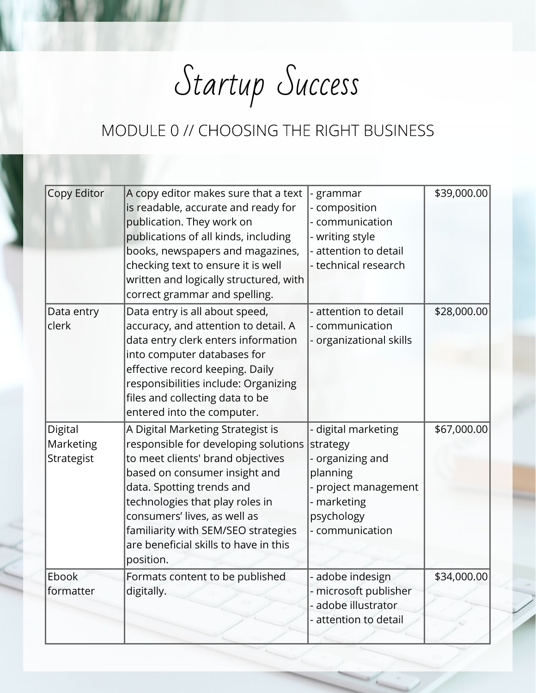Startup Success

| Copy Editor | A copy editor makes sure that a text   | grammar                 | \$39,000.00 |
|-------------|----------------------------------------|-------------------------|-------------|
|             | is readable, accurate and ready for    | - composition           |             |
|             | publication. They work on              | - communication         |             |
|             | publications of all kinds, including   | - writing style         |             |
|             | books, newspapers and magazines,       | - attention to detail   |             |
|             | checking text to ensure it is well     | - technical research    |             |
|             | written and logically structured, with |                         |             |
|             | correct grammar and spelling.          |                         |             |
| Data entry  | Data entry is all about speed,         | - attention to detail   | \$28,000.00 |
| clerk       | accuracy, and attention to detail. A   | - communication         |             |
|             | data entry clerk enters information    | - organizational skills |             |
|             | into computer databases for            |                         |             |
|             | effective record keeping. Daily        |                         |             |
|             | responsibilities include: Organizing   |                         |             |
|             | files and collecting data to be        |                         |             |
|             | entered into the computer.             |                         |             |
| Digital     | A Digital Marketing Strategist is      | - digital marketing     | \$67,000.00 |
| Marketing   | responsible for developing solutions   | strategy                |             |
| Strategist  | to meet clients' brand objectives      | - organizing and        |             |
|             | based on consumer insight and          | planning                |             |
|             | data. Spotting trends and              | project management      |             |
|             | technologies that play roles in        | - marketing             |             |
|             | consumers' lives, as well as           | psychology              |             |
|             | familiarity with SEM/SEO strategies    | - communication         |             |
|             | are beneficial skills to have in this  |                         |             |
|             | position.                              |                         |             |
| Ebook       | Formats content to be published        | - adobe indesign        | \$34,000.00 |
| formatter   | digitally.                             | - microsoft publisher   |             |
|             |                                        | - adobe illustrator     |             |
|             |                                        | attention to detail     |             |
|             |                                        |                         |             |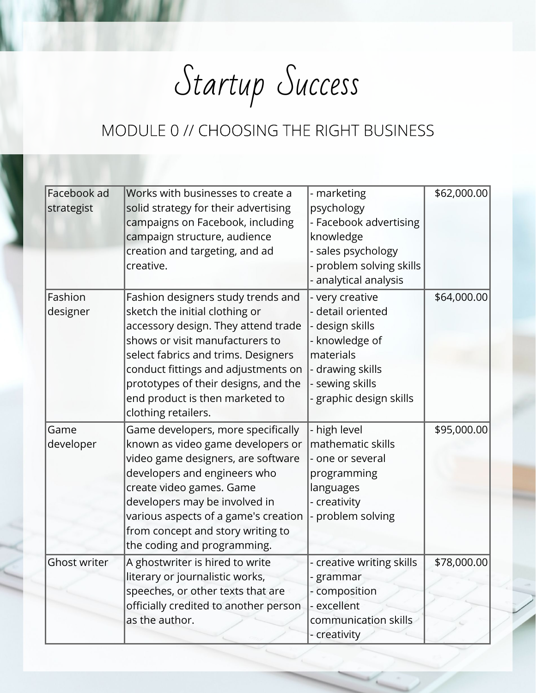Startup Success

| Facebook ad         | Works with businesses to create a     | - marketing               | \$62,000.00 |
|---------------------|---------------------------------------|---------------------------|-------------|
| strategist          | solid strategy for their advertising  | psychology                |             |
|                     | campaigns on Facebook, including      | - Facebook advertising    |             |
|                     | campaign structure, audience          | knowledge                 |             |
|                     | creation and targeting, and ad        | - sales psychology        |             |
|                     | creative.                             | problem solving skills    |             |
|                     |                                       | analytical analysis       |             |
| Fashion             | Fashion designers study trends and    | - very creative           | \$64,000.00 |
| designer            | sketch the initial clothing or        | detail oriented           |             |
|                     | accessory design. They attend trade   | design skills             |             |
|                     | shows or visit manufacturers to       | knowledge of              |             |
|                     | select fabrics and trims. Designers   | materials                 |             |
|                     | conduct fittings and adjustments on   | drawing skills            |             |
|                     | prototypes of their designs, and the  | sewing skills             |             |
|                     | end product is then marketed to       | - graphic design skills   |             |
|                     | clothing retailers.                   |                           |             |
| Game                | Game developers, more specifically    | - high level              | \$95,000.00 |
| developer           | known as video game developers or     | mathematic skills         |             |
|                     | video game designers, are software    | - one or several          |             |
|                     | developers and engineers who          | programming               |             |
|                     | create video games. Game              | languages                 |             |
|                     | developers may be involved in         | - creativity              |             |
|                     | various aspects of a game's creation  | problem solving           |             |
|                     | from concept and story writing to     |                           |             |
|                     | the coding and programming.           |                           |             |
| <b>Ghost writer</b> | A ghostwriter is hired to write       | - creative writing skills | \$78,000.00 |
|                     | literary or journalistic works,       | grammar                   |             |
|                     | speeches, or other texts that are     | - composition             |             |
|                     | officially credited to another person | - excellent               |             |
|                     | as the author.                        | communication skills      |             |
|                     |                                       | - creativity              |             |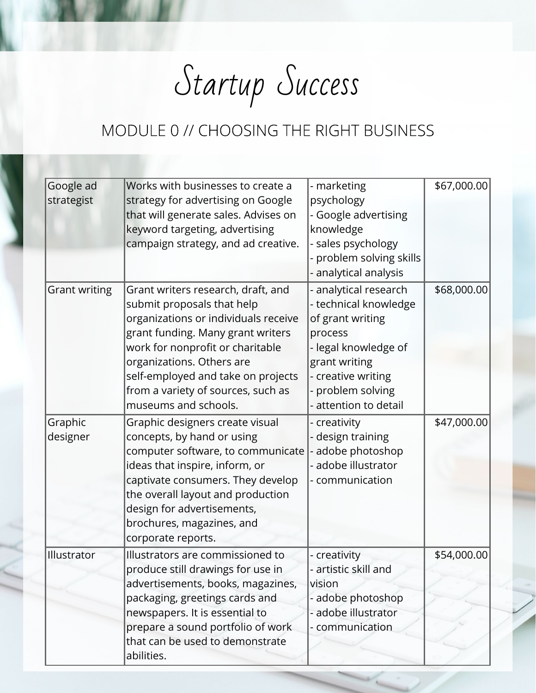Startup Success

| Google ad            | Works with businesses to create a                                | - marketing                              | \$67,000.00 |
|----------------------|------------------------------------------------------------------|------------------------------------------|-------------|
| strategist           | strategy for advertising on Google                               | psychology                               |             |
|                      | that will generate sales. Advises on                             | - Google advertising                     |             |
|                      | keyword targeting, advertising                                   | knowledge                                |             |
|                      | campaign strategy, and ad creative.                              | - sales psychology                       |             |
|                      |                                                                  | - problem solving skills                 |             |
|                      |                                                                  | - analytical analysis                    |             |
| <b>Grant writing</b> | Grant writers research, draft, and                               | - analytical research                    | \$68,000.00 |
|                      | submit proposals that help                                       | - technical knowledge                    |             |
|                      | organizations or individuals receive                             | of grant writing                         |             |
|                      | grant funding. Many grant writers                                | process                                  |             |
|                      | work for nonprofit or charitable                                 | - legal knowledge of                     |             |
|                      | organizations. Others are                                        | grant writing                            |             |
|                      | self-employed and take on projects                               | - creative writing                       |             |
|                      | from a variety of sources, such as                               | - problem solving                        |             |
|                      | museums and schools.                                             | - attention to detail                    |             |
| Graphic              | Graphic designers create visual                                  | - creativity                             | \$47,000.00 |
| designer             | concepts, by hand or using                                       | - design training                        |             |
|                      | computer software, to communicate                                | - adobe photoshop                        |             |
|                      | ideas that inspire, inform, or                                   | - adobe illustrator                      |             |
|                      | captivate consumers. They develop                                | - communication                          |             |
|                      | the overall layout and production                                |                                          |             |
|                      | design for advertisements,                                       |                                          |             |
|                      | brochures, magazines, and                                        |                                          |             |
|                      | corporate reports.                                               |                                          |             |
| Illustrator          | Illustrators are commissioned to                                 | - creativity                             | \$54,000.00 |
|                      | produce still drawings for use in                                | - artistic skill and<br>vision           |             |
|                      | advertisements, books, magazines,                                |                                          |             |
|                      | packaging, greetings cards and<br>newspapers. It is essential to | - adobe photoshop<br>- adobe illustrator |             |
|                      | prepare a sound portfolio of work                                | - communication                          |             |
|                      | that can be used to demonstrate                                  |                                          |             |
|                      | abilities.                                                       |                                          |             |
|                      |                                                                  |                                          |             |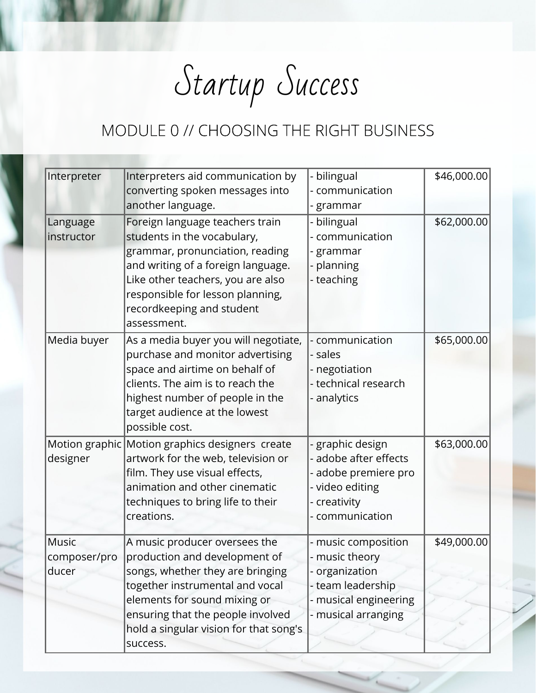Startup Success

| Interpreter                           | Interpreters aid communication by<br>converting spoken messages into<br>another language.                                                                                                                                                                        | - bilingual<br>- communication<br>- grammar                                                                                | \$46,000.00 |
|---------------------------------------|------------------------------------------------------------------------------------------------------------------------------------------------------------------------------------------------------------------------------------------------------------------|----------------------------------------------------------------------------------------------------------------------------|-------------|
| Language<br>instructor                | Foreign language teachers train<br>students in the vocabulary,<br>grammar, pronunciation, reading<br>and writing of a foreign language.<br>Like other teachers, you are also<br>responsible for lesson planning,<br>recordkeeping and student<br>assessment.     | - bilingual<br>- communication<br>- grammar<br>- planning<br>- teaching                                                    | \$62,000.00 |
| Media buyer                           | As a media buyer you will negotiate,<br>purchase and monitor advertising<br>space and airtime on behalf of<br>clients. The aim is to reach the<br>highest number of people in the<br>target audience at the lowest<br>possible cost.                             | - communication<br>- sales<br>- negotiation<br>- technical research<br>- analytics                                         | \$65,000.00 |
| designer                              | Motion graphic Motion graphics designers create<br>artwork for the web, television or<br>film. They use visual effects,<br>animation and other cinematic<br>techniques to bring life to their<br>creations.                                                      | - graphic design<br>- adobe after effects<br>adobe premiere pro<br>- video editing<br>- creativity<br>- communication      | \$63,000.00 |
| <b>Music</b><br>composer/pro<br>ducer | A music producer oversees the<br>production and development of<br>songs, whether they are bringing<br>together instrumental and vocal<br>elements for sound mixing or<br>ensuring that the people involved<br>hold a singular vision for that song's<br>success. | - music composition<br>music theory<br>- organization<br>- team leadership<br>- musical engineering<br>- musical arranging | \$49,000.00 |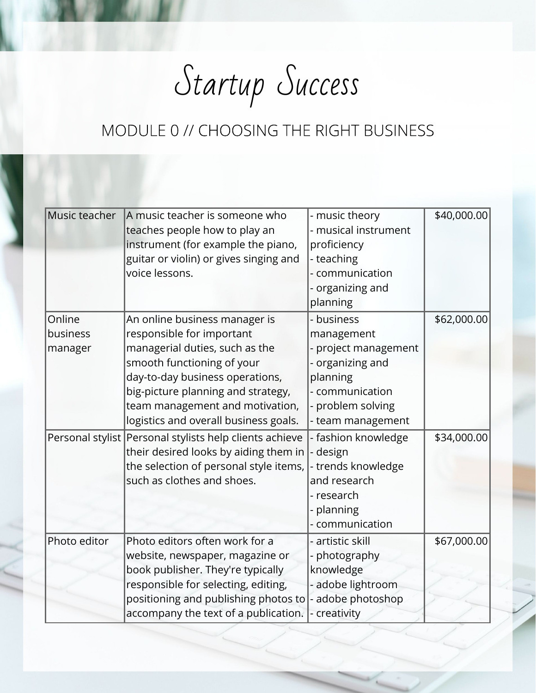Startup Success

| Music teacher                 | A music teacher is someone who<br>teaches people how to play an<br>instrument (for example the piano,<br>guitar or violin) or gives singing and<br>voice lessons.                                                                                                               | - music theory<br>- musical instrument<br>proficiency<br>- teaching<br>communication<br>organizing and<br>planning                      | \$40,000.00 |
|-------------------------------|---------------------------------------------------------------------------------------------------------------------------------------------------------------------------------------------------------------------------------------------------------------------------------|-----------------------------------------------------------------------------------------------------------------------------------------|-------------|
| Online<br>business<br>manager | An online business manager is<br>responsible for important<br>managerial duties, such as the<br>smooth functioning of your<br>day-to-day business operations,<br>big-picture planning and strategy,<br>team management and motivation,<br>logistics and overall business goals. | business<br>management<br>project management<br>organizing and<br>planning<br>- communication<br>- problem solving<br>- team management | \$62,000.00 |
|                               | Personal stylist Personal stylists help clients achieve<br>their desired looks by aiding them in<br>the selection of personal style items,<br>such as clothes and shoes.                                                                                                        | - fashion knowledge<br>design<br>- trends knowledge<br>and research<br>- research<br>planning<br>- communication                        | \$34,000.00 |
| Photo editor                  | Photo editors often work for a<br>website, newspaper, magazine or<br>book publisher. They're typically<br>responsible for selecting, editing,<br>positioning and publishing photos to<br>accompany the text of a publication.                                                   | - artistic skill<br>photography<br>knowledge<br>adobe lightroom<br>adobe photoshop<br>- creativity                                      | \$67,000.00 |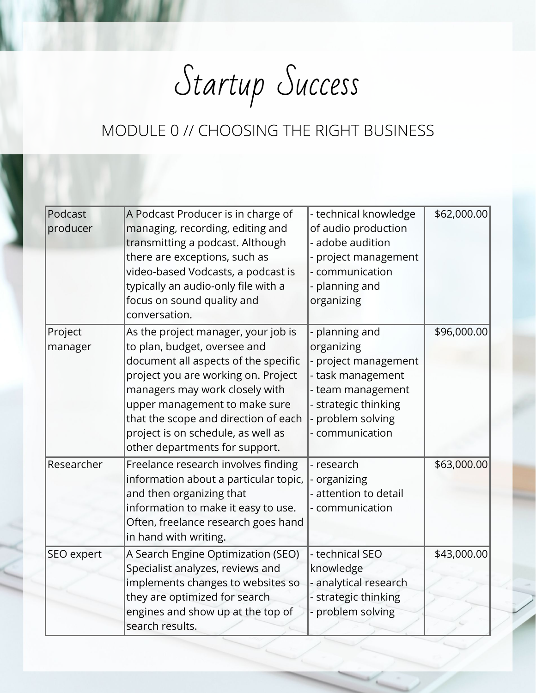Startup Success

| Podcast<br>producer | A Podcast Producer is in charge of<br>managing, recording, editing and<br>transmitting a podcast. Although<br>there are exceptions, such as<br>video-based Vodcasts, a podcast is<br>typically an audio-only file with a<br>focus on sound quality and<br>conversation.                                                               | - technical knowledge<br>of audio production<br>adobe audition<br>project management<br>- communication<br>planning and<br>organizing                  | \$62,000.00 |
|---------------------|---------------------------------------------------------------------------------------------------------------------------------------------------------------------------------------------------------------------------------------------------------------------------------------------------------------------------------------|--------------------------------------------------------------------------------------------------------------------------------------------------------|-------------|
| Project<br>manager  | As the project manager, your job is<br>to plan, budget, oversee and<br>document all aspects of the specific<br>project you are working on. Project<br>managers may work closely with<br>upper management to make sure<br>that the scope and direction of each<br>project is on schedule, as well as<br>other departments for support. | planning and<br>organizing<br>project management<br>- task management<br>- team management<br>- strategic thinking<br>problem solving<br>communication | \$96,000.00 |
| Researcher          | Freelance research involves finding<br>information about a particular topic,<br>and then organizing that<br>information to make it easy to use.<br>Often, freelance research goes hand<br>in hand with writing.                                                                                                                       | - research<br>organizing<br>- attention to detail<br>communication                                                                                     | \$63,000.00 |
| SEO expert          | A Search Engine Optimization (SEO)<br>Specialist analyzes, reviews and<br>implements changes to websites so<br>they are optimized for search<br>engines and show up at the top of<br>search results.                                                                                                                                  | - technical SEO<br>knowledge<br>analytical research<br>- strategic thinking<br>problem solving                                                         | \$43,000.00 |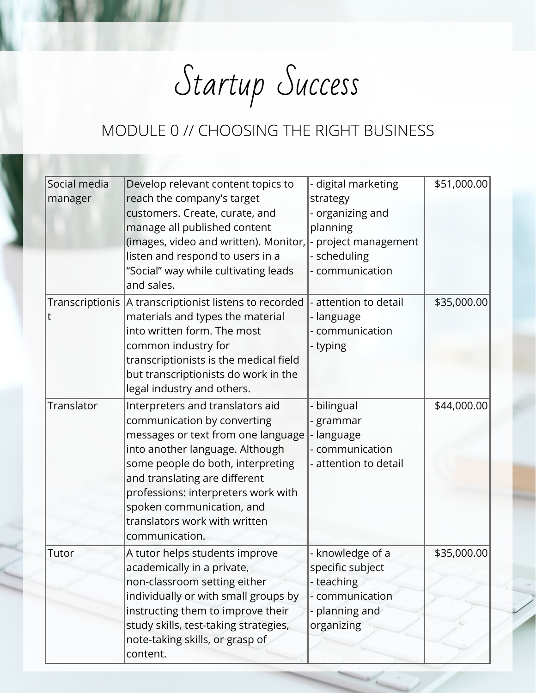Startup Success

| Social media | Develop relevant content topics to                                 | - digital marketing   | \$51,000.00 |
|--------------|--------------------------------------------------------------------|-----------------------|-------------|
| manager      | reach the company's target                                         | strategy              |             |
|              | customers. Create, curate, and                                     | organizing and        |             |
|              | manage all published content                                       | planning              |             |
|              | (images, video and written). Monitor,                              | - project management  |             |
|              | listen and respond to users in a                                   | - scheduling          |             |
|              | "Social" way while cultivating leads                               | - communication       |             |
|              | and sales.                                                         |                       |             |
|              | Transcriptionis  A transcriptionist listens to recorded            | attention to detail   | \$35,000.00 |
| t            | materials and types the material                                   | - language            |             |
|              | into written form. The most                                        | communication         |             |
|              | common industry for                                                | - typing              |             |
|              | transcriptionists is the medical field                             |                       |             |
|              | but transcriptionists do work in the<br>legal industry and others. |                       |             |
|              |                                                                    |                       |             |
| Translator   | Interpreters and translators aid                                   | bilingual             | \$44,000.00 |
|              | communication by converting<br>messages or text from one language  | grammar<br>- language |             |
|              | into another language. Although                                    | communication         |             |
|              | some people do both, interpreting                                  | attention to detail   |             |
|              | and translating are different                                      |                       |             |
|              | professions: interpreters work with                                |                       |             |
|              | spoken communication, and                                          |                       |             |
|              | translators work with written                                      |                       |             |
|              | communication.                                                     |                       |             |
| Tutor        | A tutor helps students improve                                     | - knowledge of a      | \$35,000.00 |
|              | academically in a private,                                         | specific subject      |             |
|              | non-classroom setting either                                       | - teaching            |             |
|              | individually or with small groups by                               | - communication       |             |
|              | instructing them to improve their                                  | - planning and        |             |
|              | study skills, test-taking strategies,                              | organizing            |             |
|              | note-taking skills, or grasp of                                    |                       |             |
|              | content.                                                           |                       |             |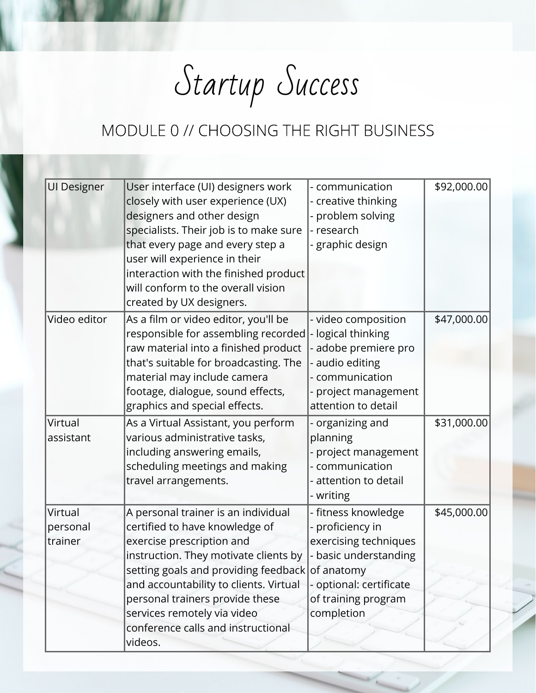Startup Success

| <b>UI Designer</b>             | User interface (UI) designers work<br>closely with user experience (UX)<br>designers and other design<br>specialists. Their job is to make sure<br>that every page and every step a<br>user will experience in their<br>interaction with the finished product<br>will conform to the overall vision<br>created by UX designers.                  | - communication<br>- creative thinking<br>- problem solving<br>- research<br>- graphic design                                                                       | \$92,000.00 |
|--------------------------------|--------------------------------------------------------------------------------------------------------------------------------------------------------------------------------------------------------------------------------------------------------------------------------------------------------------------------------------------------|---------------------------------------------------------------------------------------------------------------------------------------------------------------------|-------------|
| Video editor                   | As a film or video editor, you'll be<br>responsible for assembling recorded<br>raw material into a finished product<br>that's suitable for broadcasting. The<br>material may include camera<br>footage, dialogue, sound effects,<br>graphics and special effects.                                                                                | - video composition<br>- logical thinking<br>adobe premiere pro<br>audio editing<br>communication<br>project management<br>attention to detail                      | \$47,000.00 |
| Virtual<br>assistant           | As a Virtual Assistant, you perform<br>various administrative tasks,<br>including answering emails,<br>scheduling meetings and making<br>travel arrangements.                                                                                                                                                                                    | - organizing and<br>planning<br>project management<br>communication<br>attention to detail<br>- writing                                                             | \$31,000.00 |
| Virtual<br>personal<br>trainer | A personal trainer is an individual<br>certified to have knowledge of<br>exercise prescription and<br>instruction. They motivate clients by<br>setting goals and providing feedback<br>and accountability to clients. Virtual<br>personal trainers provide these<br>services remotely via video<br>conference calls and instructional<br>videos. | - fitness knowledge<br>proficiency in<br>exercising techniques<br>basic understanding<br>of anatomy<br>- optional: certificate<br>of training program<br>completion | \$45,000.00 |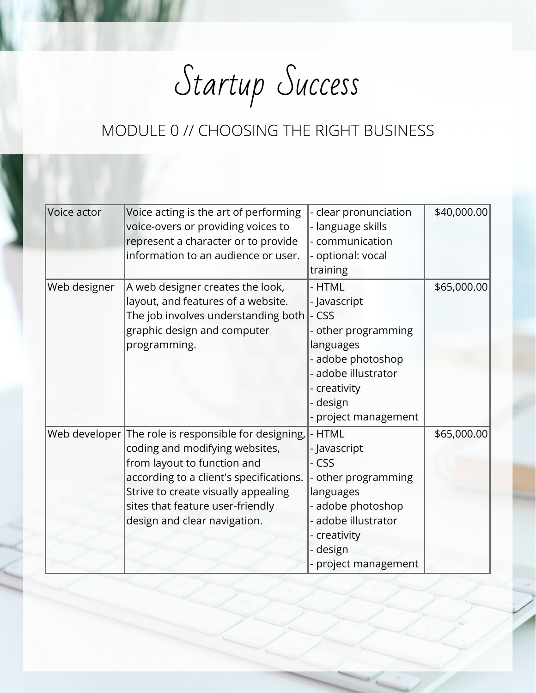Startup Success

| Voice actor  | Voice acting is the art of performing<br>voice-overs or providing voices to<br>represent a character or to provide<br>information to an audience or user.                                                                                                                   | - clear pronunciation<br>- language skills<br>- communication<br>- optional: vocal<br>training                                                                    | \$40,000.00 |
|--------------|-----------------------------------------------------------------------------------------------------------------------------------------------------------------------------------------------------------------------------------------------------------------------------|-------------------------------------------------------------------------------------------------------------------------------------------------------------------|-------------|
| Web designer | A web designer creates the look,<br>layout, and features of a website.<br>The job involves understanding both<br>graphic design and computer<br>programming.                                                                                                                | - HTML<br>- Javascript<br>- CSS<br>- other programming<br>languages<br>adobe photoshop<br>- adobe illustrator<br>- creativity<br>- design<br>- project management | \$65,000.00 |
|              | Web developer The role is responsible for designing,<br>coding and modifying websites,<br>from layout to function and<br>according to a client's specifications.<br>Strive to create visually appealing<br>sites that feature user-friendly<br>design and clear navigation. | - HTML<br>- Javascript<br>- CSS<br>- other programming<br>languages<br>- adobe photoshop<br>- adobe illustrator<br>- creativity<br>design<br>- project management | \$65,000.00 |